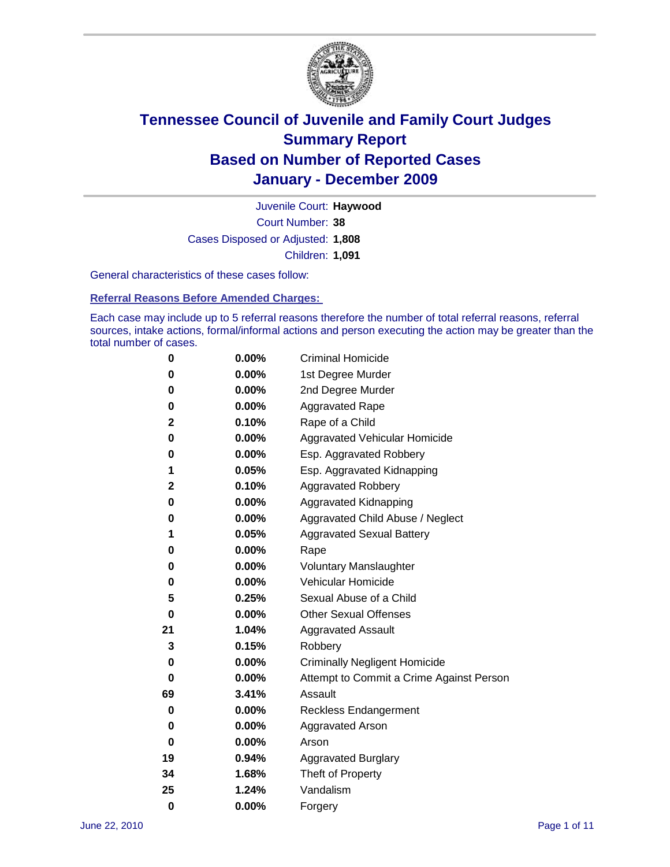

Court Number: **38** Juvenile Court: **Haywood** Cases Disposed or Adjusted: **1,808** Children: **1,091**

General characteristics of these cases follow:

**Referral Reasons Before Amended Charges:** 

Each case may include up to 5 referral reasons therefore the number of total referral reasons, referral sources, intake actions, formal/informal actions and person executing the action may be greater than the total number of cases.

| 0  | 0.00%    | <b>Criminal Homicide</b>                 |
|----|----------|------------------------------------------|
| 0  | 0.00%    | 1st Degree Murder                        |
| 0  | 0.00%    | 2nd Degree Murder                        |
| 0  | 0.00%    | <b>Aggravated Rape</b>                   |
| 2  | 0.10%    | Rape of a Child                          |
| 0  | 0.00%    | Aggravated Vehicular Homicide            |
| 0  | 0.00%    | Esp. Aggravated Robbery                  |
| 1  | 0.05%    | Esp. Aggravated Kidnapping               |
| 2  | 0.10%    | <b>Aggravated Robbery</b>                |
| 0  | 0.00%    | Aggravated Kidnapping                    |
| 0  | 0.00%    | Aggravated Child Abuse / Neglect         |
| 1  | 0.05%    | <b>Aggravated Sexual Battery</b>         |
| 0  | 0.00%    | Rape                                     |
| 0  | $0.00\%$ | <b>Voluntary Manslaughter</b>            |
| 0  | 0.00%    | Vehicular Homicide                       |
| 5  | 0.25%    | Sexual Abuse of a Child                  |
| 0  | 0.00%    | <b>Other Sexual Offenses</b>             |
| 21 | 1.04%    | <b>Aggravated Assault</b>                |
| 3  | 0.15%    | Robbery                                  |
| 0  | 0.00%    | <b>Criminally Negligent Homicide</b>     |
| 0  | 0.00%    | Attempt to Commit a Crime Against Person |
| 69 | 3.41%    | Assault                                  |
| 0  | 0.00%    | <b>Reckless Endangerment</b>             |
| 0  | 0.00%    | <b>Aggravated Arson</b>                  |
| 0  | 0.00%    | Arson                                    |
| 19 | 0.94%    | <b>Aggravated Burglary</b>               |
| 34 | 1.68%    | Theft of Property                        |
| 25 | 1.24%    | Vandalism                                |
| 0  | 0.00%    | Forgery                                  |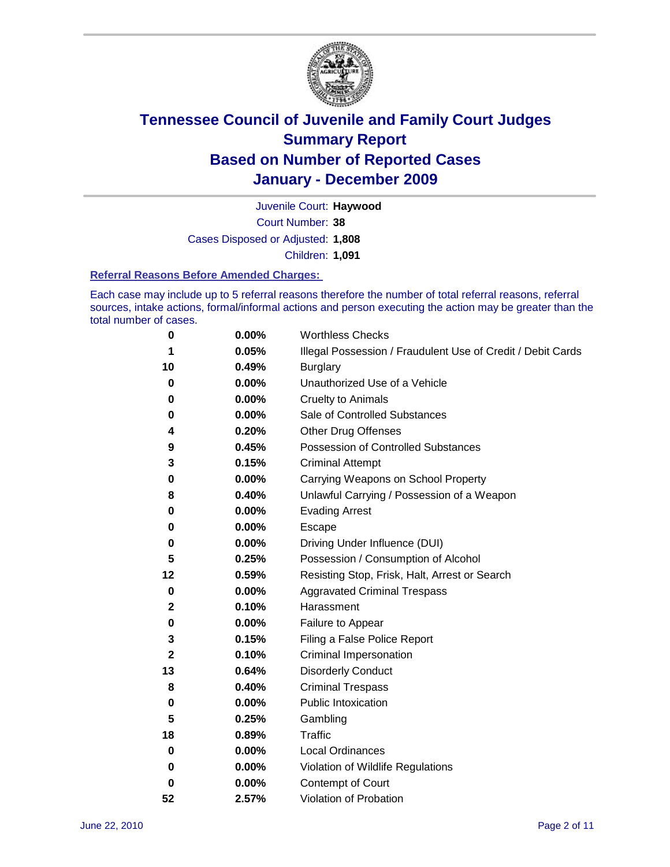

Court Number: **38** Juvenile Court: **Haywood** Cases Disposed or Adjusted: **1,808** Children: **1,091**

### **Referral Reasons Before Amended Charges:**

Each case may include up to 5 referral reasons therefore the number of total referral reasons, referral sources, intake actions, formal/informal actions and person executing the action may be greater than the total number of cases.

| 0           | 0.00% | <b>Worthless Checks</b>                                     |
|-------------|-------|-------------------------------------------------------------|
| 1           | 0.05% | Illegal Possession / Fraudulent Use of Credit / Debit Cards |
| 10          | 0.49% | <b>Burglary</b>                                             |
| 0           | 0.00% | Unauthorized Use of a Vehicle                               |
| 0           | 0.00% | <b>Cruelty to Animals</b>                                   |
| 0           | 0.00% | Sale of Controlled Substances                               |
| 4           | 0.20% | <b>Other Drug Offenses</b>                                  |
| 9           | 0.45% | Possession of Controlled Substances                         |
| 3           | 0.15% | <b>Criminal Attempt</b>                                     |
| 0           | 0.00% | Carrying Weapons on School Property                         |
| 8           | 0.40% | Unlawful Carrying / Possession of a Weapon                  |
| 0           | 0.00% | <b>Evading Arrest</b>                                       |
| 0           | 0.00% | Escape                                                      |
| 0           | 0.00% | Driving Under Influence (DUI)                               |
| 5           | 0.25% | Possession / Consumption of Alcohol                         |
| 12          | 0.59% | Resisting Stop, Frisk, Halt, Arrest or Search               |
| 0           | 0.00% | <b>Aggravated Criminal Trespass</b>                         |
| 2           | 0.10% | Harassment                                                  |
| 0           | 0.00% | Failure to Appear                                           |
| 3           | 0.15% | Filing a False Police Report                                |
| $\mathbf 2$ | 0.10% | Criminal Impersonation                                      |
| 13          | 0.64% | <b>Disorderly Conduct</b>                                   |
| 8           | 0.40% | <b>Criminal Trespass</b>                                    |
| 0           | 0.00% | <b>Public Intoxication</b>                                  |
| 5           | 0.25% | Gambling                                                    |
| 18          | 0.89% | <b>Traffic</b>                                              |
| 0           | 0.00% | <b>Local Ordinances</b>                                     |
| 0           | 0.00% | Violation of Wildlife Regulations                           |
| 0           | 0.00% | Contempt of Court                                           |
| 52          | 2.57% | Violation of Probation                                      |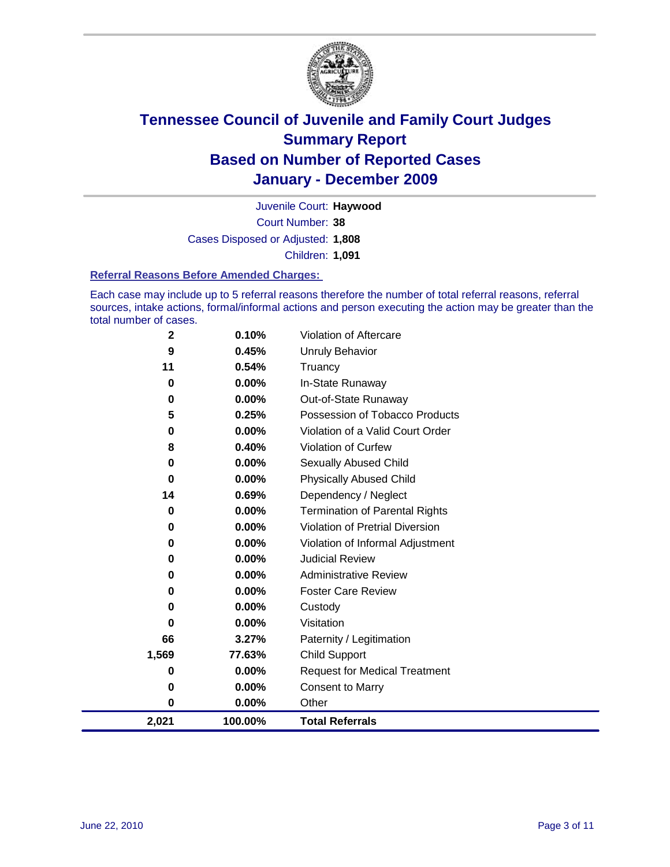

Court Number: **38** Juvenile Court: **Haywood** Cases Disposed or Adjusted: **1,808** Children: **1,091**

### **Referral Reasons Before Amended Charges:**

Each case may include up to 5 referral reasons therefore the number of total referral reasons, referral sources, intake actions, formal/informal actions and person executing the action may be greater than the total number of cases.

| 2,021       | 100.00%  | <b>Total Referrals</b>                 |
|-------------|----------|----------------------------------------|
| 0           | 0.00%    | Other                                  |
| 0           | 0.00%    | <b>Consent to Marry</b>                |
| 0           | 0.00%    | <b>Request for Medical Treatment</b>   |
| 1,569       | 77.63%   | <b>Child Support</b>                   |
| 66          | 3.27%    | Paternity / Legitimation               |
| 0           | $0.00\%$ | Visitation                             |
| 0           | $0.00\%$ | Custody                                |
| 0           | 0.00%    | <b>Foster Care Review</b>              |
| 0           | $0.00\%$ | <b>Administrative Review</b>           |
| 0           | 0.00%    | <b>Judicial Review</b>                 |
| 0           | 0.00%    | Violation of Informal Adjustment       |
| 0           | 0.00%    | <b>Violation of Pretrial Diversion</b> |
| 0           | 0.00%    | <b>Termination of Parental Rights</b>  |
| 14          | 0.69%    | Dependency / Neglect                   |
| 0           | 0.00%    | <b>Physically Abused Child</b>         |
| 0           | 0.00%    | Sexually Abused Child                  |
| 8           | 0.40%    | <b>Violation of Curfew</b>             |
| 0           | 0.00%    | Violation of a Valid Court Order       |
| 5           | 0.25%    | Possession of Tobacco Products         |
| 0           | $0.00\%$ | Out-of-State Runaway                   |
| 0           | 0.00%    | In-State Runaway                       |
| 11          | 0.54%    | Truancy                                |
| 9           | 0.45%    | <b>Unruly Behavior</b>                 |
| $\mathbf 2$ | 0.10%    | Violation of Aftercare                 |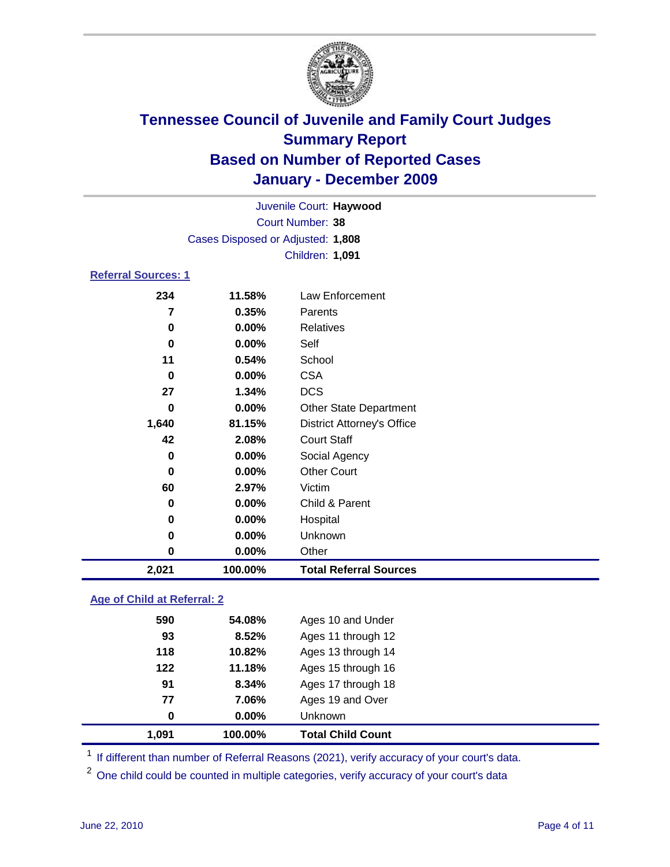

| 2,021                      | 100.00%                           | <b>Total Referral Sources</b>     |  |  |
|----------------------------|-----------------------------------|-----------------------------------|--|--|
| 0                          | $0.00\%$                          | Other                             |  |  |
| 0                          | 0.00%                             | Unknown                           |  |  |
| 0                          | 0.00%                             | Hospital                          |  |  |
| 0                          | 0.00%                             | Child & Parent                    |  |  |
| 60                         | 2.97%                             | Victim                            |  |  |
| 0                          | 0.00%                             | <b>Other Court</b>                |  |  |
| 0                          | $0.00\%$                          | Social Agency                     |  |  |
| 42                         | 2.08%                             | <b>Court Staff</b>                |  |  |
| 1,640                      | 81.15%                            | <b>District Attorney's Office</b> |  |  |
| 0                          | 0.00%                             | <b>Other State Department</b>     |  |  |
| 27                         | 1.34%                             | <b>DCS</b>                        |  |  |
| 0                          | 0.00%                             | <b>CSA</b>                        |  |  |
| 11                         | 0.54%                             | School                            |  |  |
| $\bf{0}$                   | $0.00\%$                          | Self                              |  |  |
| 0                          | 0.00%                             | Relatives                         |  |  |
| 7                          | 0.35%                             | Parents                           |  |  |
| 234                        | 11.58%                            | <b>Law Enforcement</b>            |  |  |
| <b>Referral Sources: 1</b> |                                   |                                   |  |  |
|                            |                                   | Children: 1,091                   |  |  |
|                            | Cases Disposed or Adjusted: 1,808 |                                   |  |  |
|                            |                                   | <b>Court Number: 38</b>           |  |  |
|                            | Juvenile Court: Haywood           |                                   |  |  |
|                            |                                   |                                   |  |  |

### **Age of Child at Referral: 2**

| 77<br>0 | 7.06%<br>0.00% | Ages 19 and Over<br><b>Unknown</b> |
|---------|----------------|------------------------------------|
|         |                |                                    |
|         |                |                                    |
| 91      | 8.34%          | Ages 17 through 18                 |
| 122     | 11.18%         | Ages 15 through 16                 |
| 118     | 10.82%         | Ages 13 through 14                 |
| 93      | 8.52%          | Ages 11 through 12                 |
| 590     | 54.08%         | Ages 10 and Under                  |
|         |                |                                    |

<sup>1</sup> If different than number of Referral Reasons (2021), verify accuracy of your court's data.

<sup>2</sup> One child could be counted in multiple categories, verify accuracy of your court's data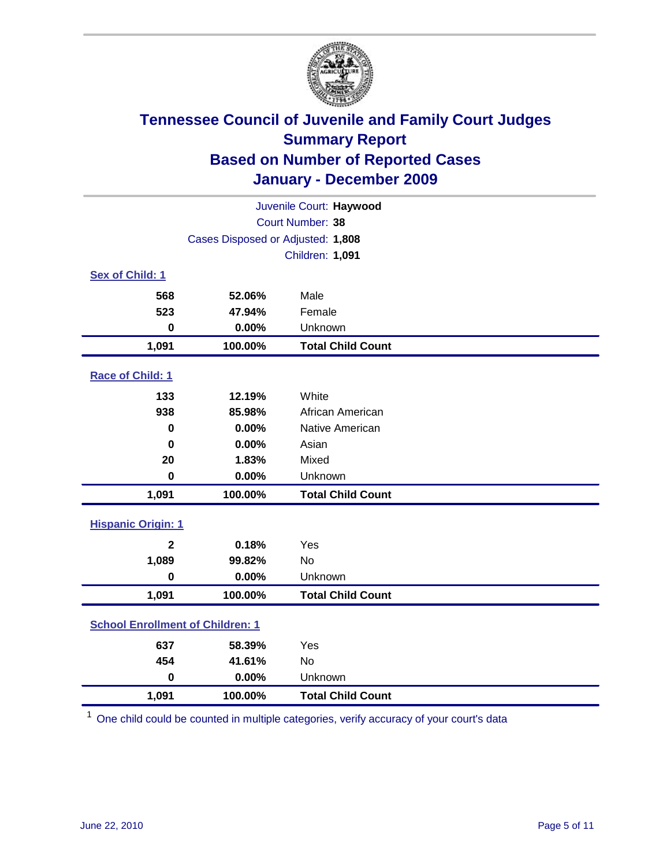

| Juvenile Court: Haywood                 |                                   |                          |  |  |  |
|-----------------------------------------|-----------------------------------|--------------------------|--|--|--|
| Court Number: 38                        |                                   |                          |  |  |  |
|                                         | Cases Disposed or Adjusted: 1,808 |                          |  |  |  |
|                                         |                                   | Children: 1,091          |  |  |  |
| Sex of Child: 1                         |                                   |                          |  |  |  |
| 568                                     | 52.06%                            | Male                     |  |  |  |
| 523                                     | 47.94%                            | Female                   |  |  |  |
| $\mathbf 0$                             | 0.00%                             | Unknown                  |  |  |  |
| 1,091                                   | 100.00%                           | <b>Total Child Count</b> |  |  |  |
| Race of Child: 1                        |                                   |                          |  |  |  |
| 133                                     | 12.19%                            | White                    |  |  |  |
| 938                                     | 85.98%                            | African American         |  |  |  |
| $\mathbf 0$                             | 0.00%                             | Native American          |  |  |  |
| $\mathbf 0$                             | 0.00%                             | Asian                    |  |  |  |
| 20                                      | 1.83%                             | Mixed                    |  |  |  |
| $\mathbf 0$                             | 0.00%                             | Unknown                  |  |  |  |
| 1,091                                   | 100.00%                           | <b>Total Child Count</b> |  |  |  |
| <b>Hispanic Origin: 1</b>               |                                   |                          |  |  |  |
| $\overline{2}$                          | 0.18%                             | Yes                      |  |  |  |
| 1,089                                   | 99.82%                            | <b>No</b>                |  |  |  |
| $\mathbf 0$                             | 0.00%                             | Unknown                  |  |  |  |
| 1,091                                   | 100.00%                           | <b>Total Child Count</b> |  |  |  |
| <b>School Enrollment of Children: 1</b> |                                   |                          |  |  |  |
| 637                                     | 58.39%                            | Yes                      |  |  |  |
| 454                                     | 41.61%                            | No                       |  |  |  |
| $\mathbf 0$                             | 0.00%                             | Unknown                  |  |  |  |
| 1,091                                   | 100.00%                           | <b>Total Child Count</b> |  |  |  |

<sup>1</sup> One child could be counted in multiple categories, verify accuracy of your court's data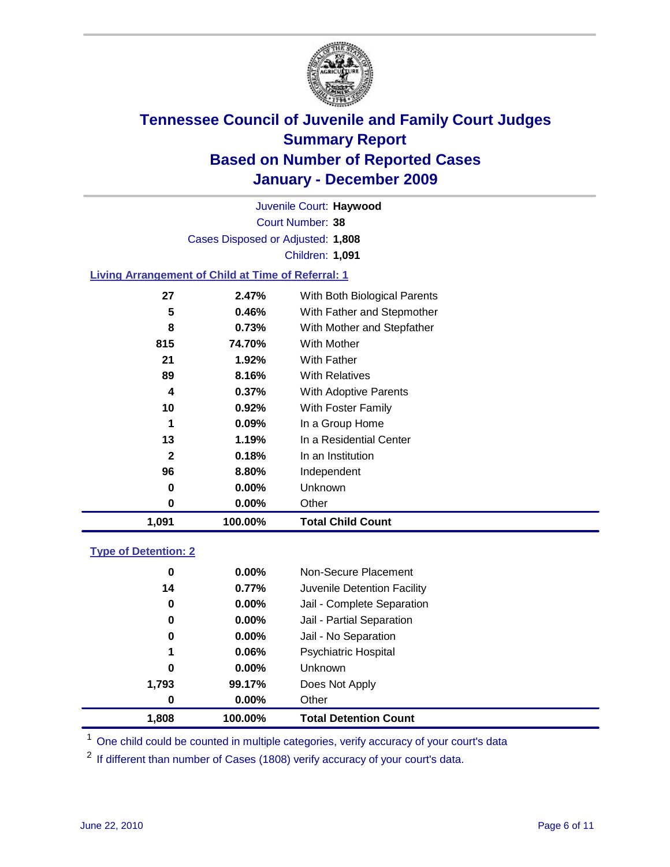

Court Number: **38** Juvenile Court: **Haywood** Cases Disposed or Adjusted: **1,808** Children: **1,091**

### **Living Arrangement of Child at Time of Referral: 1**

| 1,091        | 100.00%  | <b>Total Child Count</b>     |
|--------------|----------|------------------------------|
| 0            | 0.00%    | Other                        |
| 0            | $0.00\%$ | <b>Unknown</b>               |
| 96           | 8.80%    | Independent                  |
| $\mathbf{2}$ | 0.18%    | In an Institution            |
| 13           | 1.19%    | In a Residential Center      |
| 1            | $0.09\%$ | In a Group Home              |
| 10           | 0.92%    | With Foster Family           |
| 4            | $0.37\%$ | With Adoptive Parents        |
| 89           | 8.16%    | <b>With Relatives</b>        |
| 21           | 1.92%    | With Father                  |
| 815          | 74.70%   | With Mother                  |
| 8            | 0.73%    | With Mother and Stepfather   |
| 5            | 0.46%    | With Father and Stepmother   |
| 27           | 2.47%    | With Both Biological Parents |
|              |          |                              |

### **Type of Detention: 2**

| 1,808    | 100.00%  | <b>Total Detention Count</b> |  |
|----------|----------|------------------------------|--|
| 0        | $0.00\%$ | Other                        |  |
| 1,793    | 99.17%   | Does Not Apply               |  |
| 0        | $0.00\%$ | <b>Unknown</b>               |  |
| 1        | 0.06%    | <b>Psychiatric Hospital</b>  |  |
| $\bf{0}$ | 0.00%    | Jail - No Separation         |  |
| 0        | $0.00\%$ | Jail - Partial Separation    |  |
| 0        | $0.00\%$ | Jail - Complete Separation   |  |
| 14       | 0.77%    | Juvenile Detention Facility  |  |
| 0        | $0.00\%$ | Non-Secure Placement         |  |
|          |          |                              |  |

<sup>1</sup> One child could be counted in multiple categories, verify accuracy of your court's data

<sup>2</sup> If different than number of Cases (1808) verify accuracy of your court's data.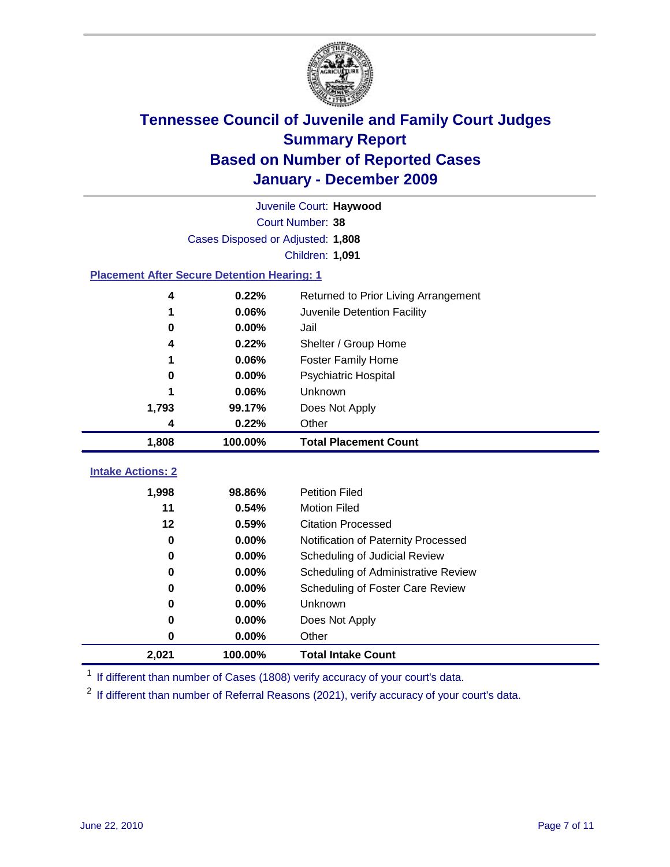

|                                                    | Juvenile Court: Haywood           |                                      |  |  |  |  |
|----------------------------------------------------|-----------------------------------|--------------------------------------|--|--|--|--|
|                                                    | Court Number: 38                  |                                      |  |  |  |  |
|                                                    | Cases Disposed or Adjusted: 1,808 |                                      |  |  |  |  |
|                                                    | Children: 1,091                   |                                      |  |  |  |  |
| <b>Placement After Secure Detention Hearing: 1</b> |                                   |                                      |  |  |  |  |
| 4                                                  | 0.22%                             | Returned to Prior Living Arrangement |  |  |  |  |
| 1                                                  | 0.06%                             | Juvenile Detention Facility          |  |  |  |  |
| 0                                                  | 0.00%                             | Jail                                 |  |  |  |  |
| 4                                                  | 0.22%                             | Shelter / Group Home                 |  |  |  |  |
|                                                    | 0.06%                             | <b>Foster Family Home</b>            |  |  |  |  |
| 0                                                  | 0.00%                             | Psychiatric Hospital                 |  |  |  |  |
|                                                    | 0.06%                             | Unknown                              |  |  |  |  |
| 1,793                                              | 99.17%                            | Does Not Apply                       |  |  |  |  |
| 4                                                  | 0.22%                             | Other                                |  |  |  |  |
| 1,808                                              | 100.00%                           | <b>Total Placement Count</b>         |  |  |  |  |
|                                                    |                                   |                                      |  |  |  |  |
| <b>Intake Actions: 2</b>                           |                                   |                                      |  |  |  |  |
| 1,998                                              | 98.86%                            | <b>Petition Filed</b>                |  |  |  |  |
| 11                                                 | 0.54%                             | <b>Motion Filed</b>                  |  |  |  |  |
| 12                                                 | 0.59%                             | <b>Citation Processed</b>            |  |  |  |  |
| 0                                                  | 0.00%                             | Notification of Paternity Processed  |  |  |  |  |
| 0                                                  | 0.00%                             | Scheduling of Judicial Review        |  |  |  |  |
| $\bf{0}$                                           | 0.00%                             | Scheduling of Administrative Review  |  |  |  |  |
| 0                                                  | 0.00%                             | Scheduling of Foster Care Review     |  |  |  |  |
| $\bf{0}$                                           | 0.00%                             | Unknown                              |  |  |  |  |
| $\bf{0}$                                           | 0.00%                             | Does Not Apply                       |  |  |  |  |
| 0                                                  | 0.00%                             | Other                                |  |  |  |  |
| 2,021                                              | 100.00%                           | <b>Total Intake Count</b>            |  |  |  |  |

<sup>1</sup> If different than number of Cases (1808) verify accuracy of your court's data.

<sup>2</sup> If different than number of Referral Reasons (2021), verify accuracy of your court's data.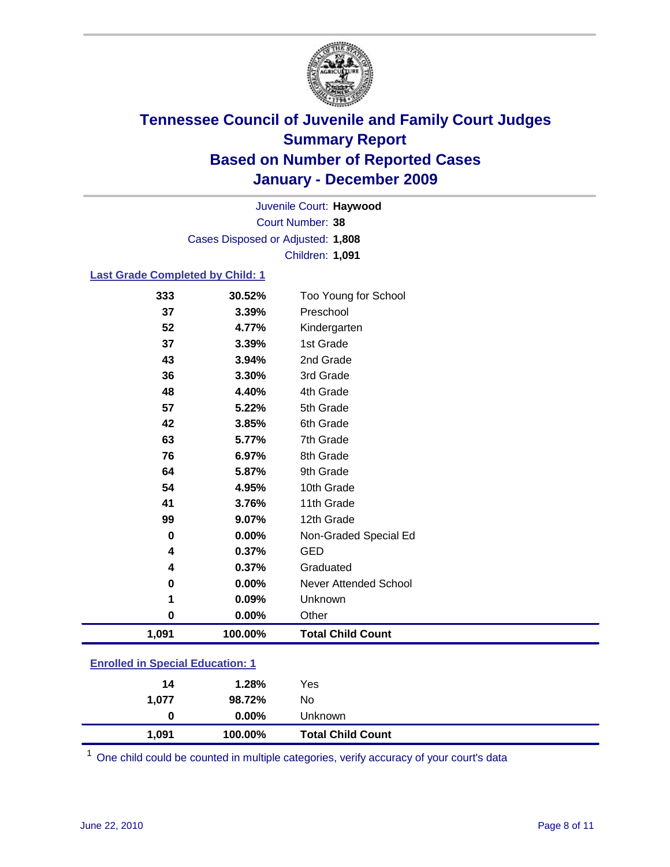

Court Number: **38** Juvenile Court: **Haywood** Cases Disposed or Adjusted: **1,808** Children: **1,091**

### **Last Grade Completed by Child: 1**

| 333                                     | 30.52%  | Too Young for School         |  |
|-----------------------------------------|---------|------------------------------|--|
| 37                                      | 3.39%   | Preschool                    |  |
| 52                                      | 4.77%   | Kindergarten                 |  |
| 37                                      | 3.39%   | 1st Grade                    |  |
| 43                                      | 3.94%   | 2nd Grade                    |  |
| 36                                      | 3.30%   | 3rd Grade                    |  |
| 48                                      | 4.40%   | 4th Grade                    |  |
| 57                                      | 5.22%   | 5th Grade                    |  |
| 42                                      | 3.85%   | 6th Grade                    |  |
| 63                                      | 5.77%   | 7th Grade                    |  |
| 76                                      | 6.97%   | 8th Grade                    |  |
| 64                                      | 5.87%   | 9th Grade                    |  |
| 54                                      | 4.95%   | 10th Grade                   |  |
| 41                                      | 3.76%   | 11th Grade                   |  |
| 99                                      | 9.07%   | 12th Grade                   |  |
| 0                                       | 0.00%   | Non-Graded Special Ed        |  |
| 4                                       | 0.37%   | <b>GED</b>                   |  |
| 4                                       | 0.37%   | Graduated                    |  |
| 0                                       | 0.00%   | <b>Never Attended School</b> |  |
| 1                                       | 0.09%   | Unknown                      |  |
| 0                                       | 0.00%   | Other                        |  |
| 1,091                                   | 100.00% | <b>Total Child Count</b>     |  |
| <b>Enrolled in Special Education: 1</b> |         |                              |  |

| 1.077 | 1.28%<br>98.72% | No.                      |  |
|-------|-----------------|--------------------------|--|
| 0     | $0.00\%$        | Unknown                  |  |
| 1,091 | 100.00%         | <b>Total Child Count</b> |  |

One child could be counted in multiple categories, verify accuracy of your court's data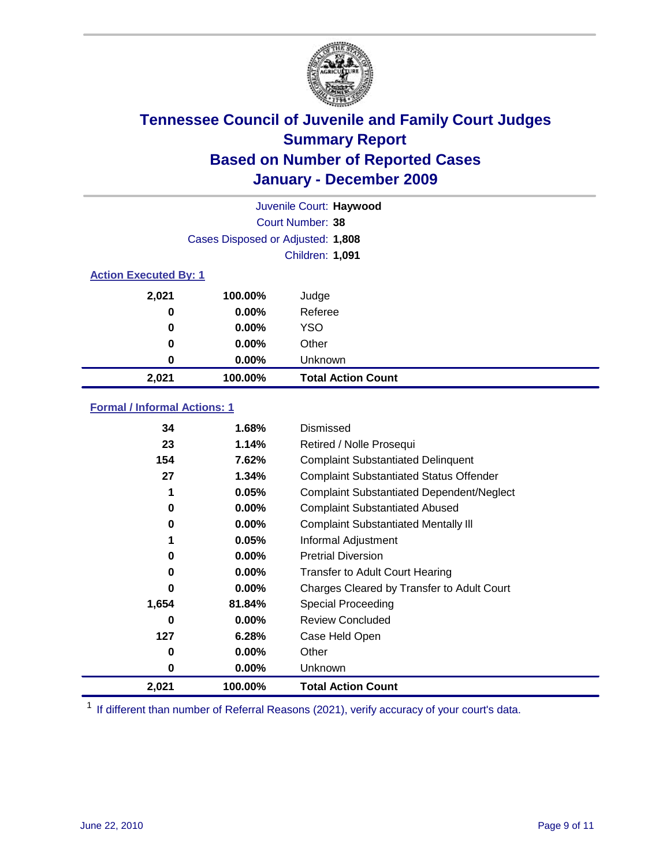

| Juvenile Court: Haywood      |                                   |                           |  |  |
|------------------------------|-----------------------------------|---------------------------|--|--|
|                              | Court Number: 38                  |                           |  |  |
|                              | Cases Disposed or Adjusted: 1,808 |                           |  |  |
|                              |                                   | Children: 1,091           |  |  |
| <b>Action Executed By: 1</b> |                                   |                           |  |  |
| 2,021                        | 100.00%                           | Judge                     |  |  |
| 0                            | $0.00\%$                          | Referee                   |  |  |
| 0                            | $0.00\%$                          | <b>YSO</b>                |  |  |
| 0                            | $0.00\%$                          | Other                     |  |  |
| 0                            | 0.00%                             | Unknown                   |  |  |
| 2,021                        | 100.00%                           | <b>Total Action Count</b> |  |  |

### **Formal / Informal Actions: 1**

| 34    | 1.68%    | Dismissed                                        |
|-------|----------|--------------------------------------------------|
| 23    | 1.14%    | Retired / Nolle Prosequi                         |
| 154   | 7.62%    | <b>Complaint Substantiated Delinquent</b>        |
| 27    | 1.34%    | <b>Complaint Substantiated Status Offender</b>   |
| 1     | 0.05%    | <b>Complaint Substantiated Dependent/Neglect</b> |
| 0     | $0.00\%$ | <b>Complaint Substantiated Abused</b>            |
| 0     | $0.00\%$ | <b>Complaint Substantiated Mentally III</b>      |
|       | 0.05%    | Informal Adjustment                              |
| 0     | $0.00\%$ | <b>Pretrial Diversion</b>                        |
| 0     | $0.00\%$ | <b>Transfer to Adult Court Hearing</b>           |
| 0     | $0.00\%$ | Charges Cleared by Transfer to Adult Court       |
| 1,654 | 81.84%   | <b>Special Proceeding</b>                        |
| 0     | $0.00\%$ | <b>Review Concluded</b>                          |
| 127   | 6.28%    | Case Held Open                                   |
| 0     | $0.00\%$ | Other                                            |
| 0     | 0.00%    | <b>Unknown</b>                                   |
| 2,021 | 100.00%  | <b>Total Action Count</b>                        |

<sup>1</sup> If different than number of Referral Reasons (2021), verify accuracy of your court's data.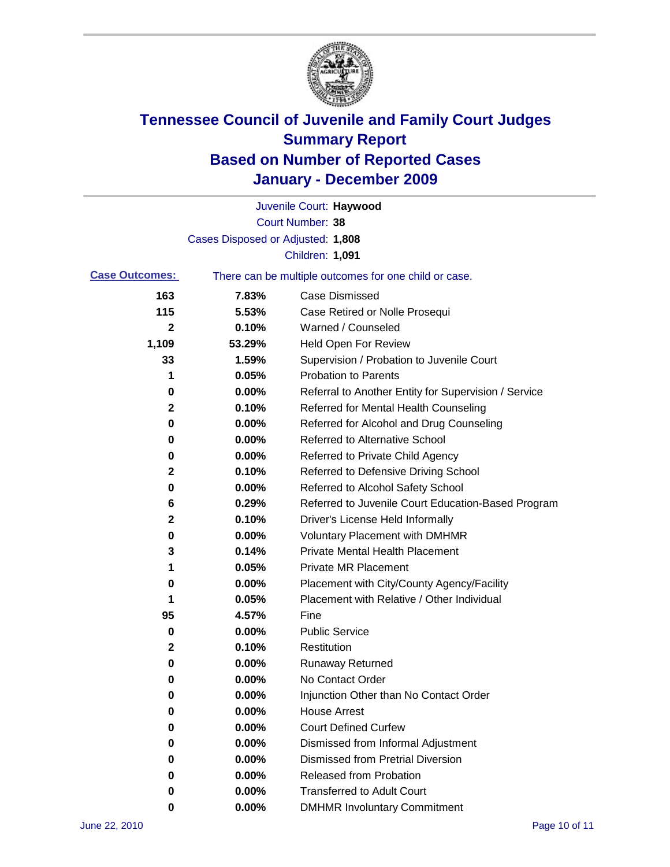

|                       |                                   | Juvenile Court: Haywood                               |
|-----------------------|-----------------------------------|-------------------------------------------------------|
|                       |                                   | Court Number: 38                                      |
|                       | Cases Disposed or Adjusted: 1,808 |                                                       |
|                       |                                   | Children: 1,091                                       |
| <b>Case Outcomes:</b> |                                   | There can be multiple outcomes for one child or case. |
| 163                   | 7.83%                             | <b>Case Dismissed</b>                                 |
| 115                   | 5.53%                             | Case Retired or Nolle Prosequi                        |
| $\mathbf{2}$          | 0.10%                             | Warned / Counseled                                    |
| 1,109                 | 53.29%                            | <b>Held Open For Review</b>                           |
| 33                    | 1.59%                             | Supervision / Probation to Juvenile Court             |
| 1                     | 0.05%                             | <b>Probation to Parents</b>                           |
| 0                     | 0.00%                             | Referral to Another Entity for Supervision / Service  |
| 2                     | 0.10%                             | Referred for Mental Health Counseling                 |
| 0                     | 0.00%                             | Referred for Alcohol and Drug Counseling              |
| 0                     | 0.00%                             | <b>Referred to Alternative School</b>                 |
| 0                     | 0.00%                             | Referred to Private Child Agency                      |
| 2                     | 0.10%                             | Referred to Defensive Driving School                  |
| 0                     | 0.00%                             | Referred to Alcohol Safety School                     |
| 6                     | 0.29%                             | Referred to Juvenile Court Education-Based Program    |
| 2                     | 0.10%                             | Driver's License Held Informally                      |
| 0                     | 0.00%                             | <b>Voluntary Placement with DMHMR</b>                 |
| 3                     | 0.14%                             | <b>Private Mental Health Placement</b>                |
| 1                     | 0.05%                             | <b>Private MR Placement</b>                           |
| 0                     | 0.00%                             | Placement with City/County Agency/Facility            |
| 1                     | 0.05%                             | Placement with Relative / Other Individual            |
| 95                    | 4.57%                             | Fine                                                  |
| 0                     | 0.00%                             | <b>Public Service</b>                                 |
| 2                     | 0.10%                             | Restitution                                           |
| 0                     | 0.00%                             | <b>Runaway Returned</b>                               |
| 0                     | 0.00%                             | No Contact Order                                      |
| 0                     | 0.00%                             | Injunction Other than No Contact Order                |
| 0                     | 0.00%                             | <b>House Arrest</b>                                   |
| 0                     | 0.00%                             | <b>Court Defined Curfew</b>                           |
| 0                     | 0.00%                             | Dismissed from Informal Adjustment                    |
| 0                     | 0.00%                             | <b>Dismissed from Pretrial Diversion</b>              |
| 0                     | 0.00%                             | Released from Probation                               |
| 0                     | 0.00%                             | <b>Transferred to Adult Court</b>                     |
| 0                     | $0.00\%$                          | <b>DMHMR Involuntary Commitment</b>                   |